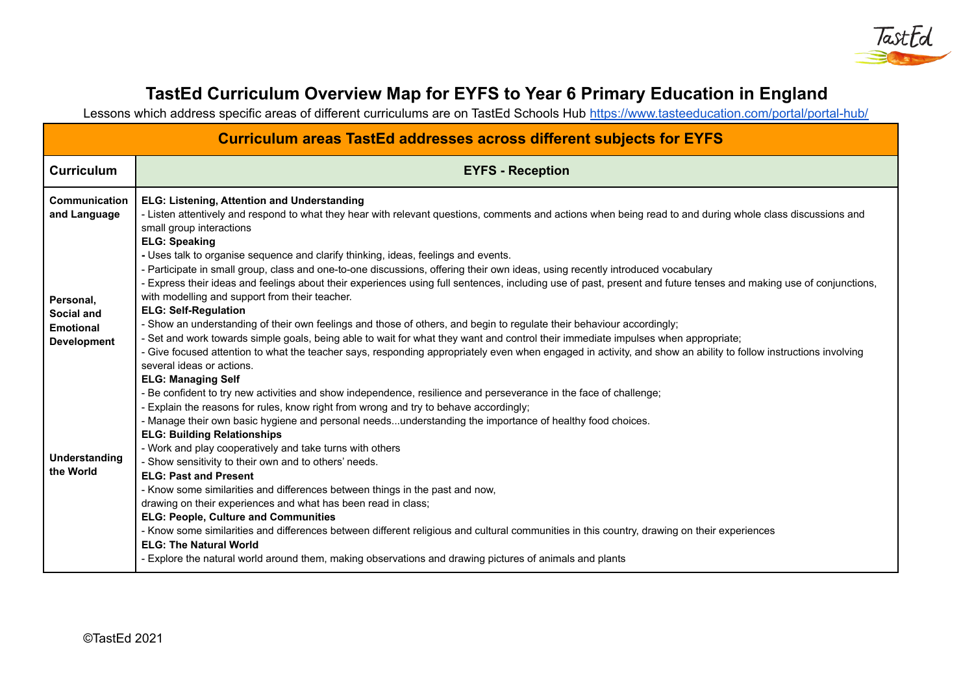

# **TastEd Curriculum Overview Map for EYFS to Year 6 Primary Education in England**

Lessons which address specific areas of different curriculums are on TastEd Schools Hub <https://www.tasteeducation.com/portal/portal-hub/>

| <b>Curriculum areas TastEd addresses across different subjects for EYFS</b>                                                                    |                                                                                                                                                                                                                                                                                                                                                                                                                                                                                                                                                                                                                                                                                                                                                                                                                                                                                                                                                                                                                                                                                                                                                                                                                                                                                                                                                                                                                                                                                                                                                                                                                                                                                                                                                                                                                                                                                                                                                             |  |  |  |  |  |
|------------------------------------------------------------------------------------------------------------------------------------------------|-------------------------------------------------------------------------------------------------------------------------------------------------------------------------------------------------------------------------------------------------------------------------------------------------------------------------------------------------------------------------------------------------------------------------------------------------------------------------------------------------------------------------------------------------------------------------------------------------------------------------------------------------------------------------------------------------------------------------------------------------------------------------------------------------------------------------------------------------------------------------------------------------------------------------------------------------------------------------------------------------------------------------------------------------------------------------------------------------------------------------------------------------------------------------------------------------------------------------------------------------------------------------------------------------------------------------------------------------------------------------------------------------------------------------------------------------------------------------------------------------------------------------------------------------------------------------------------------------------------------------------------------------------------------------------------------------------------------------------------------------------------------------------------------------------------------------------------------------------------------------------------------------------------------------------------------------------------|--|--|--|--|--|
| <b>Curriculum</b>                                                                                                                              | <b>EYFS - Reception</b>                                                                                                                                                                                                                                                                                                                                                                                                                                                                                                                                                                                                                                                                                                                                                                                                                                                                                                                                                                                                                                                                                                                                                                                                                                                                                                                                                                                                                                                                                                                                                                                                                                                                                                                                                                                                                                                                                                                                     |  |  |  |  |  |
| <b>Communication</b><br>and Language<br>Personal,<br>Social and<br><b>Emotional</b><br><b>Development</b><br><b>Understanding</b><br>the World | ELG: Listening, Attention and Understanding<br>- Listen attentively and respond to what they hear with relevant questions, comments and actions when being read to and during whole class discussions and<br>small group interactions<br><b>ELG: Speaking</b><br>- Uses talk to organise sequence and clarify thinking, ideas, feelings and events.<br>- Participate in small group, class and one-to-one discussions, offering their own ideas, using recently introduced vocabulary<br>- Express their ideas and feelings about their experiences using full sentences, including use of past, present and future tenses and making use of conjunctions,<br>with modelling and support from their teacher.<br><b>ELG: Self-Regulation</b><br>- Show an understanding of their own feelings and those of others, and begin to regulate their behaviour accordingly;<br>- Set and work towards simple goals, being able to wait for what they want and control their immediate impulses when appropriate;<br>- Give focused attention to what the teacher says, responding appropriately even when engaged in activity, and show an ability to follow instructions involving<br>several ideas or actions.<br><b>ELG: Managing Self</b><br>- Be confident to try new activities and show independence, resilience and perseverance in the face of challenge;<br>- Explain the reasons for rules, know right from wrong and try to behave accordingly;<br>- Manage their own basic hygiene and personal needsunderstanding the importance of healthy food choices.<br><b>ELG: Building Relationships</b><br>- Work and play cooperatively and take turns with others<br>- Show sensitivity to their own and to others' needs.<br><b>ELG: Past and Present</b><br>- Know some similarities and differences between things in the past and now,<br>drawing on their experiences and what has been read in class;<br><b>ELG: People, Culture and Communities</b> |  |  |  |  |  |
|                                                                                                                                                | - Know some similarities and differences between different religious and cultural communities in this country, drawing on their experiences<br><b>ELG: The Natural World</b><br>- Explore the natural world around them, making observations and drawing pictures of animals and plants                                                                                                                                                                                                                                                                                                                                                                                                                                                                                                                                                                                                                                                                                                                                                                                                                                                                                                                                                                                                                                                                                                                                                                                                                                                                                                                                                                                                                                                                                                                                                                                                                                                                     |  |  |  |  |  |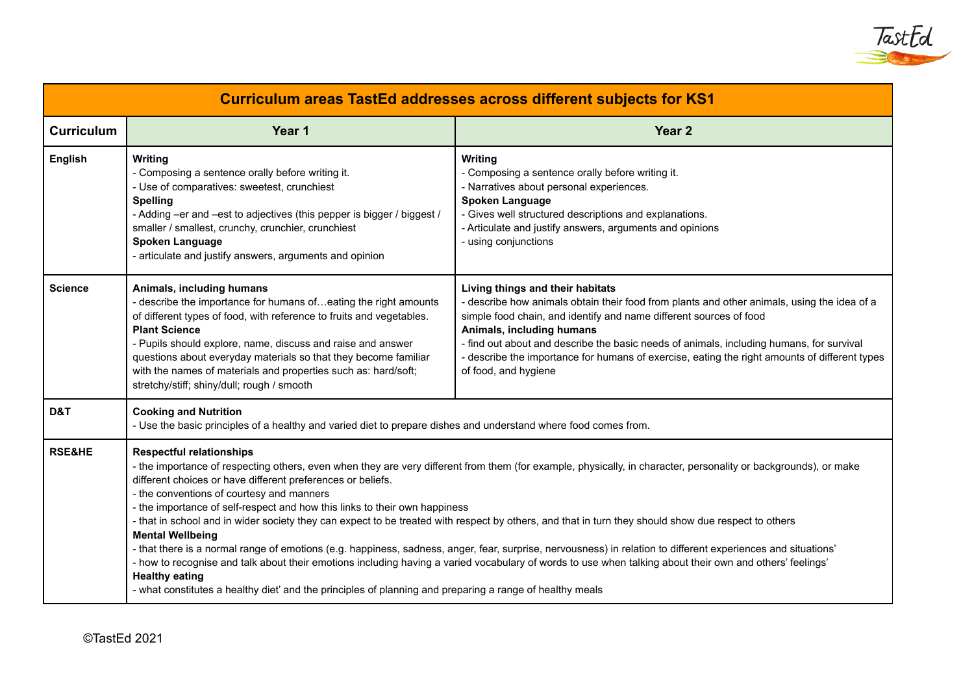

| <b>Curriculum areas TastEd addresses across different subjects for KS1</b> |                                                                                                                                                                                                                                                                                                                                                                                                                                                                                                                                                                                                                                                                                                                                                                                                                                                                                                                                                                                                                                                  |                                                                                                                                                                                                                                                                                                                                                                                                                                                         |  |  |  |  |  |
|----------------------------------------------------------------------------|--------------------------------------------------------------------------------------------------------------------------------------------------------------------------------------------------------------------------------------------------------------------------------------------------------------------------------------------------------------------------------------------------------------------------------------------------------------------------------------------------------------------------------------------------------------------------------------------------------------------------------------------------------------------------------------------------------------------------------------------------------------------------------------------------------------------------------------------------------------------------------------------------------------------------------------------------------------------------------------------------------------------------------------------------|---------------------------------------------------------------------------------------------------------------------------------------------------------------------------------------------------------------------------------------------------------------------------------------------------------------------------------------------------------------------------------------------------------------------------------------------------------|--|--|--|--|--|
| <b>Curriculum</b>                                                          | Year 1                                                                                                                                                                                                                                                                                                                                                                                                                                                                                                                                                                                                                                                                                                                                                                                                                                                                                                                                                                                                                                           | Year <sub>2</sub>                                                                                                                                                                                                                                                                                                                                                                                                                                       |  |  |  |  |  |
| <b>English</b>                                                             | <b>Writing</b><br>- Composing a sentence orally before writing it.<br>- Use of comparatives: sweetest, crunchiest<br><b>Spelling</b><br>- Adding -er and -est to adjectives (this pepper is bigger / biggest /<br>smaller / smallest, crunchy, crunchier, crunchiest<br><b>Spoken Language</b><br>- articulate and justify answers, arguments and opinion                                                                                                                                                                                                                                                                                                                                                                                                                                                                                                                                                                                                                                                                                        | Writing<br>- Composing a sentence orally before writing it.<br>- Narratives about personal experiences.<br><b>Spoken Language</b><br>- Gives well structured descriptions and explanations.<br>- Articulate and justify answers, arguments and opinions<br>- using conjunctions                                                                                                                                                                         |  |  |  |  |  |
| <b>Science</b>                                                             | Animals, including humans<br>- describe the importance for humans ofeating the right amounts<br>of different types of food, with reference to fruits and vegetables.<br><b>Plant Science</b><br>- Pupils should explore, name, discuss and raise and answer<br>questions about everyday materials so that they become familiar<br>with the names of materials and properties such as: hard/soft;<br>stretchy/stiff; shiny/dull; rough / smooth                                                                                                                                                                                                                                                                                                                                                                                                                                                                                                                                                                                                   | Living things and their habitats<br>- describe how animals obtain their food from plants and other animals, using the idea of a<br>simple food chain, and identify and name different sources of food<br>Animals, including humans<br>- find out about and describe the basic needs of animals, including humans, for survival<br>- describe the importance for humans of exercise, eating the right amounts of different types<br>of food, and hygiene |  |  |  |  |  |
| D&T                                                                        | <b>Cooking and Nutrition</b><br>- Use the basic principles of a healthy and varied diet to prepare dishes and understand where food comes from.                                                                                                                                                                                                                                                                                                                                                                                                                                                                                                                                                                                                                                                                                                                                                                                                                                                                                                  |                                                                                                                                                                                                                                                                                                                                                                                                                                                         |  |  |  |  |  |
| <b>RSE&amp;HE</b>                                                          | <b>Respectful relationships</b><br>- the importance of respecting others, even when they are very different from them (for example, physically, in character, personality or backgrounds), or make<br>different choices or have different preferences or beliefs.<br>- the conventions of courtesy and manners<br>- the importance of self-respect and how this links to their own happiness<br>- that in school and in wider society they can expect to be treated with respect by others, and that in turn they should show due respect to others<br><b>Mental Wellbeing</b><br>- that there is a normal range of emotions (e.g. happiness, sadness, anger, fear, surprise, nervousness) in relation to different experiences and situations'<br>- how to recognise and talk about their emotions including having a varied vocabulary of words to use when talking about their own and others' feelings'<br><b>Healthy eating</b><br>- what constitutes a healthy diet' and the principles of planning and preparing a range of healthy meals |                                                                                                                                                                                                                                                                                                                                                                                                                                                         |  |  |  |  |  |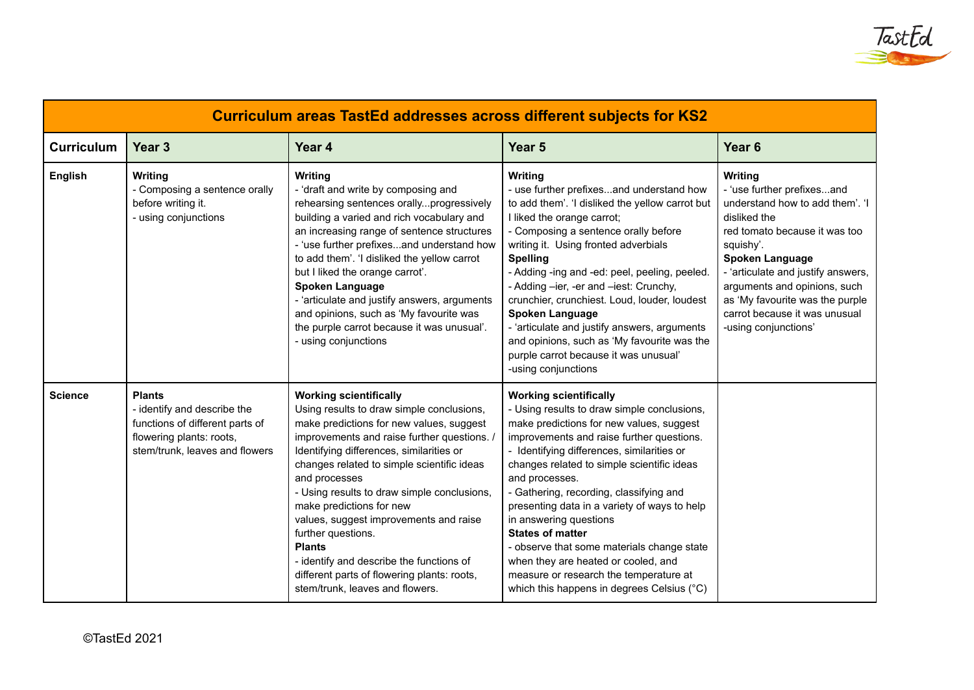

| <b>Curriculum areas TastEd addresses across different subjects for KS2</b> |                                                                                                                                               |                                                                                                                                                                                                                                                                                                                                                                                                                                                                                                                                                                            |                                                                                                                                                                                                                                                                                                                                                                                                                                                                                                                                                                                                                  |                                                                                                                                                                                                                                                                                                                                    |  |  |  |  |
|----------------------------------------------------------------------------|-----------------------------------------------------------------------------------------------------------------------------------------------|----------------------------------------------------------------------------------------------------------------------------------------------------------------------------------------------------------------------------------------------------------------------------------------------------------------------------------------------------------------------------------------------------------------------------------------------------------------------------------------------------------------------------------------------------------------------------|------------------------------------------------------------------------------------------------------------------------------------------------------------------------------------------------------------------------------------------------------------------------------------------------------------------------------------------------------------------------------------------------------------------------------------------------------------------------------------------------------------------------------------------------------------------------------------------------------------------|------------------------------------------------------------------------------------------------------------------------------------------------------------------------------------------------------------------------------------------------------------------------------------------------------------------------------------|--|--|--|--|
| <b>Curriculum</b>                                                          | Year <sub>3</sub>                                                                                                                             | Year 4                                                                                                                                                                                                                                                                                                                                                                                                                                                                                                                                                                     | Year <sub>5</sub>                                                                                                                                                                                                                                                                                                                                                                                                                                                                                                                                                                                                | Year <sub>6</sub>                                                                                                                                                                                                                                                                                                                  |  |  |  |  |
| English                                                                    | Writing<br>- Composing a sentence orally<br>before writing it.<br>- using conjunctions                                                        | Writing<br>- 'draft and write by composing and<br>rehearsing sentences orallyprogressively<br>building a varied and rich vocabulary and<br>an increasing range of sentence structures<br>- 'use further prefixesand understand how<br>to add them'. 'I disliked the yellow carrot<br>but I liked the orange carrot'.<br>Spoken Language<br>- 'articulate and justify answers, arguments<br>and opinions, such as 'My favourite was<br>the purple carrot because it was unusual'.<br>- using conjunctions                                                                   | Writing<br>- use further prefixesand understand how<br>to add them'. 'I disliked the yellow carrot but<br>I liked the orange carrot;<br>- Composing a sentence orally before<br>writing it. Using fronted adverbials<br><b>Spelling</b><br>- Adding -ing and -ed: peel, peeling, peeled.<br>- Adding -ier, -er and -iest: Crunchy,<br>crunchier, crunchiest. Loud, louder, loudest<br>Spoken Language<br>- 'articulate and justify answers, arguments<br>and opinions, such as 'My favourite was the<br>purple carrot because it was unusual'<br>-using conjunctions                                             | Writing<br>- 'use further prefixesand<br>understand how to add them'. 'I<br>disliked the<br>red tomato because it was too<br>squishy'.<br><b>Spoken Language</b><br>- 'articulate and justify answers,<br>arguments and opinions, such<br>as 'My favourite was the purple<br>carrot because it was unusual<br>-using conjunctions' |  |  |  |  |
| <b>Science</b>                                                             | <b>Plants</b><br>- identify and describe the<br>functions of different parts of<br>flowering plants: roots,<br>stem/trunk, leaves and flowers | <b>Working scientifically</b><br>Using results to draw simple conclusions,<br>make predictions for new values, suggest<br>improvements and raise further questions. /<br>Identifying differences, similarities or<br>changes related to simple scientific ideas<br>and processes<br>- Using results to draw simple conclusions,<br>make predictions for new<br>values, suggest improvements and raise<br>further questions.<br><b>Plants</b><br>- identify and describe the functions of<br>different parts of flowering plants: roots,<br>stem/trunk, leaves and flowers. | <b>Working scientifically</b><br>- Using results to draw simple conclusions,<br>make predictions for new values, suggest<br>improvements and raise further questions.<br>- Identifying differences, similarities or<br>changes related to simple scientific ideas<br>and processes.<br>- Gathering, recording, classifying and<br>presenting data in a variety of ways to help<br>in answering questions<br><b>States of matter</b><br>- observe that some materials change state<br>when they are heated or cooled, and<br>measure or research the temperature at<br>which this happens in degrees Celsius (°C) |                                                                                                                                                                                                                                                                                                                                    |  |  |  |  |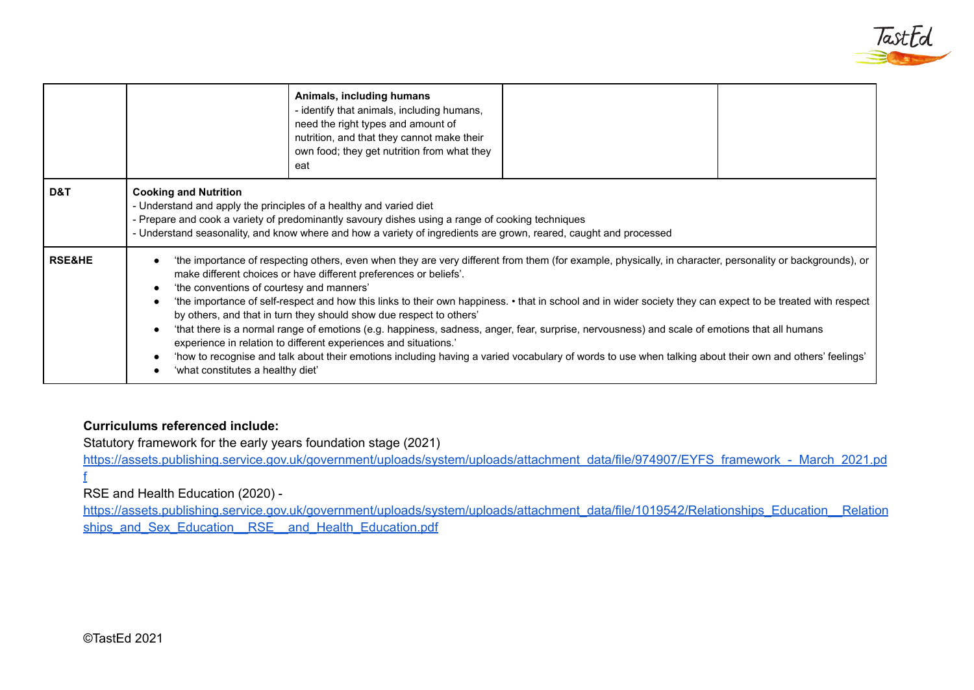

|                   |                                                                                                                                                                                                                                                                                                                                                                                                                                                                                                                                                                                                                                                                                                                                                                                                                                                                                                                                        | Animals, including humans<br>- identify that animals, including humans,<br>need the right types and amount of<br>nutrition, and that they cannot make their<br>own food; they get nutrition from what they<br>eat |  |  |  |  |
|-------------------|----------------------------------------------------------------------------------------------------------------------------------------------------------------------------------------------------------------------------------------------------------------------------------------------------------------------------------------------------------------------------------------------------------------------------------------------------------------------------------------------------------------------------------------------------------------------------------------------------------------------------------------------------------------------------------------------------------------------------------------------------------------------------------------------------------------------------------------------------------------------------------------------------------------------------------------|-------------------------------------------------------------------------------------------------------------------------------------------------------------------------------------------------------------------|--|--|--|--|
| D&T               | <b>Cooking and Nutrition</b><br>- Understand and apply the principles of a healthy and varied diet<br>- Prepare and cook a variety of predominantly savoury dishes using a range of cooking techniques<br>- Understand seasonality, and know where and how a variety of ingredients are grown, reared, caught and processed                                                                                                                                                                                                                                                                                                                                                                                                                                                                                                                                                                                                            |                                                                                                                                                                                                                   |  |  |  |  |
| <b>RSE&amp;HE</b> | 'the importance of respecting others, even when they are very different from them (for example, physically, in character, personality or backgrounds), or<br>make different choices or have different preferences or beliefs'.<br>'the conventions of courtesy and manners'<br>'the importance of self-respect and how this links to their own happiness. • that in school and in wider society they can expect to be treated with respect<br>by others, and that in turn they should show due respect to others'<br>'that there is a normal range of emotions (e.g. happiness, sadness, anger, fear, surprise, nervousness) and scale of emotions that all humans<br>experience in relation to different experiences and situations.'<br>'how to recognise and talk about their emotions including having a varied vocabulary of words to use when talking about their own and others' feelings'<br>'what constitutes a healthy diet' |                                                                                                                                                                                                                   |  |  |  |  |

### **Curriculums referenced include:**

Statutory framework for the early years foundation stage (2021)

[https://assets.publishing.service.gov.uk/government/uploads/system/uploads/attachment\\_data/file/974907/EYFS\\_framework\\_-\\_March\\_2021.pd](https://assets.publishing.service.gov.uk/government/uploads/system/uploads/attachment_data/file/974907/EYFS_framework_-_March_2021.pdf) [f](https://assets.publishing.service.gov.uk/government/uploads/system/uploads/attachment_data/file/974907/EYFS_framework_-_March_2021.pdf)

# RSE and Health Education (2020) -

[https://assets.publishing.service.gov.uk/government/uploads/system/uploads/attachment\\_data/file/1019542/Relationships\\_Education\\_\\_Relation](https://assets.publishing.service.gov.uk/government/uploads/system/uploads/attachment_data/file/1019542/Relationships_Education__Relationships_and_Sex_Education__RSE__and_Health_Education.pdf) ships\_and\_Sex\_Education\_RSE\_\_and\_Health\_Education.pdf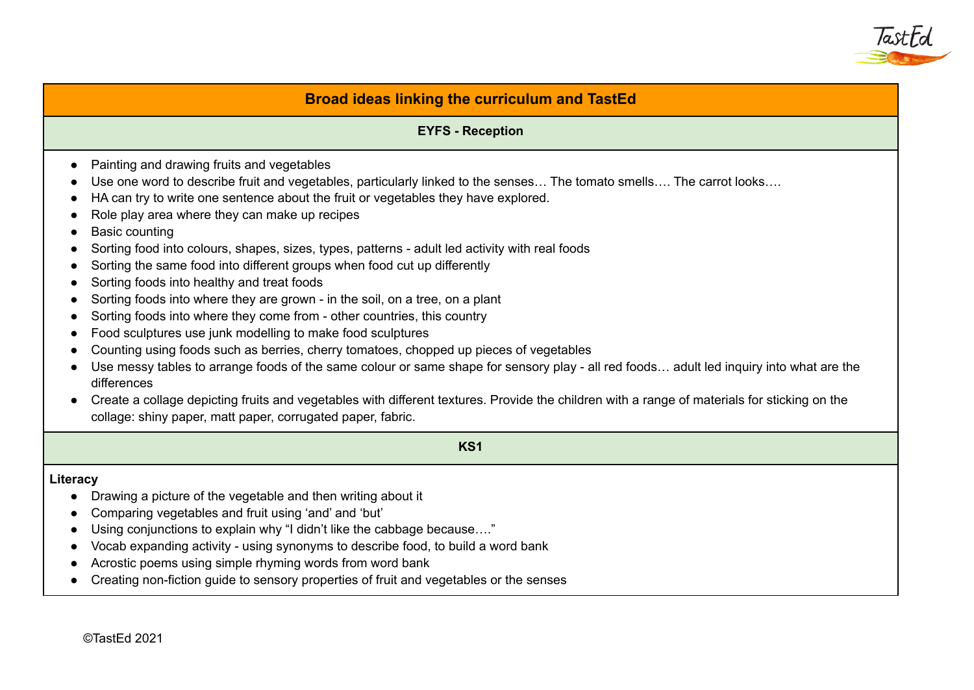

# **Broad ideas linking the curriculum and TastEd**

#### **EYFS - Reception**

- Painting and drawing fruits and vegetables
- Use one word to describe fruit and vegetables, particularly linked to the senses… The tomato smells…. The carrot looks….
- HA can try to write one sentence about the fruit or vegetables they have explored.
- Role play area where they can make up recipes
- Basic counting
- Sorting food into colours, shapes, sizes, types, patterns adult led activity with real foods
- Sorting the same food into different groups when food cut up differently
- Sorting foods into healthy and treat foods
- Sorting foods into where they are grown in the soil, on a tree, on a plant
- Sorting foods into where they come from other countries, this country
- Food sculptures use junk modelling to make food sculptures
- Counting using foods such as berries, cherry tomatoes, chopped up pieces of vegetables
- Use messy tables to arrange foods of the same colour or same shape for sensory play all red foods… adult led inquiry into what are the differences
- Create a collage depicting fruits and vegetables with different textures. Provide the children with a range of materials for sticking on the collage: shiny paper, matt paper, corrugated paper, fabric.

**KS1**

#### **Literacy**

- Drawing a picture of the vegetable and then writing about it
- Comparing vegetables and fruit using 'and' and 'but'
- Using conjunctions to explain why "I didn't like the cabbage because…."
- Vocab expanding activity using synonyms to describe food, to build a word bank
- Acrostic poems using simple rhyming words from word bank
- Creating non-fiction guide to sensory properties of fruit and vegetables or the senses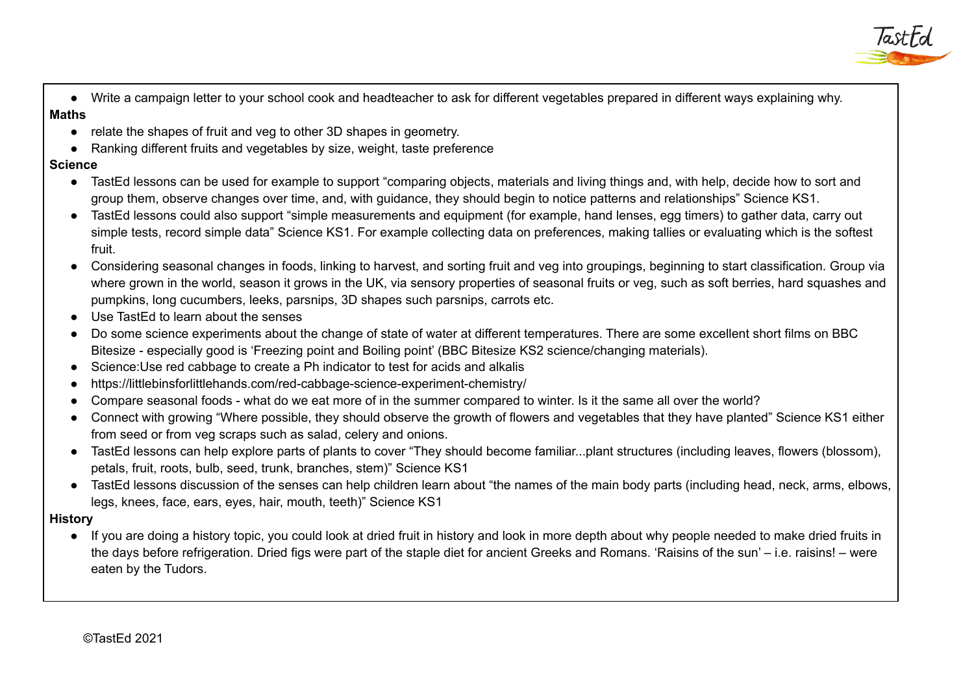

● Write a campaign letter to your school cook and headteacher to ask for different vegetables prepared in different ways explaining why. **Maths**

# ● relate the shapes of fruit and veg to other 3D shapes in geometry.

● Ranking different fruits and vegetables by size, weight, taste preference

# **Science**

- TastEd lessons can be used for example to support "comparing objects, materials and living things and, with help, decide how to sort and group them, observe changes over time, and, with guidance, they should begin to notice patterns and relationships" Science KS1.
- TastEd lessons could also support "simple measurements and equipment (for example, hand lenses, egg timers) to gather data, carry out simple tests, record simple data" Science KS1. For example collecting data on preferences, making tallies or evaluating which is the softest fruit.
- Considering seasonal changes in foods, linking to harvest, and sorting fruit and veg into groupings, beginning to start classification. Group via where grown in the world, season it grows in the UK, via sensory properties of seasonal fruits or veg, such as soft berries, hard squashes and pumpkins, long cucumbers, leeks, parsnips, 3D shapes such parsnips, carrots etc.
- Use TastEd to learn about the senses
- Do some science experiments about the change of state of water at different temperatures. There are some excellent short films on BBC Bitesize - especially good is 'Freezing point and Boiling point' (BBC Bitesize KS2 science/changing materials).
- Science:Use red cabbage to create a Ph indicator to test for acids and alkalis
- https://littlebinsforlittlehands.com/red-cabbage-science-experiment-chemistry/
- Compare seasonal foods what do we eat more of in the summer compared to winter. Is it the same all over the world?
- Connect with growing "Where possible, they should observe the growth of flowers and vegetables that they have planted" Science KS1 either from seed or from veg scraps such as salad, celery and onions.
- TastEd lessons can help explore parts of plants to cover "They should become familiar...plant structures (including leaves, flowers (blossom), petals, fruit, roots, bulb, seed, trunk, branches, stem)" Science KS1
- TastEd lessons discussion of the senses can help children learn about "the names of the main body parts (including head, neck, arms, elbows, legs, knees, face, ears, eyes, hair, mouth, teeth)" Science KS1

**History**

● If you are doing a history topic, you could look at dried fruit in history and look in more depth about why people needed to make dried fruits in the days before refrigeration. Dried figs were part of the staple diet for ancient Greeks and Romans. 'Raisins of the sun' – i.e. raisins! – were eaten by the Tudors.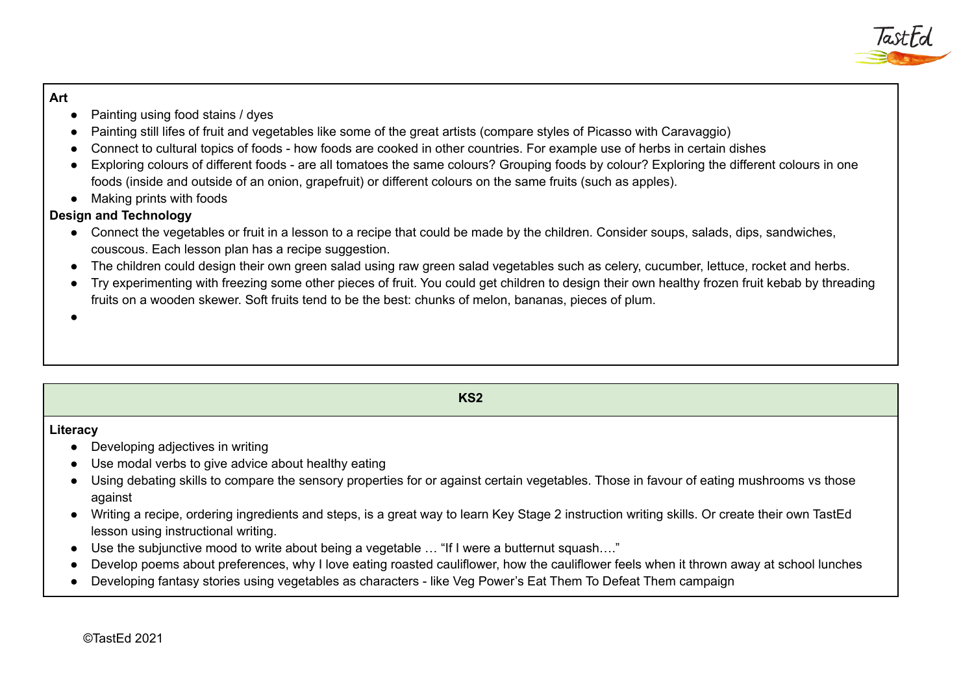### **Art**

- Painting using food stains / dyes
- Painting still lifes of fruit and vegetables like some of the great artists (compare styles of Picasso with Caravaggio)
- Connect to cultural topics of foods how foods are cooked in other countries. For example use of herbs in certain dishes
- Exploring colours of different foods are all tomatoes the same colours? Grouping foods by colour? Exploring the different colours in one foods (inside and outside of an onion, grapefruit) or different colours on the same fruits (such as apples).
- Making prints with foods

# **Design and Technology**

- Connect the vegetables or fruit in a lesson to a recipe that could be made by the children. Consider soups, salads, dips, sandwiches, couscous. Each lesson plan has a recipe suggestion.
- The children could design their own green salad using raw green salad vegetables such as celery, cucumber, lettuce, rocket and herbs.
- Try experimenting with freezing some other pieces of fruit. You could get children to design their own healthy frozen fruit kebab by threading fruits on a wooden skewer. Soft fruits tend to be the best: chunks of melon, bananas, pieces of plum.

●

# **KS2 Literacy** ● Developing adjectives in writing ● Use modal verbs to give advice about healthy eating ● Using debating skills to compare the sensory properties for or against certain vegetables. Those in favour of eating mushrooms vs those against ● Writing a recipe, ordering ingredients and steps, is a great way to learn Key Stage 2 instruction writing skills. Or create their own TastEd lesson using instructional writing. • Use the subjunctive mood to write about being a vegetable ... "If I were a butternut squash...." ● Develop poems about preferences, why I love eating roasted cauliflower, how the cauliflower feels when it thrown away at school lunches ● Developing fantasy stories using vegetables as characters - like Veg Power's Eat Them To Defeat Them campaign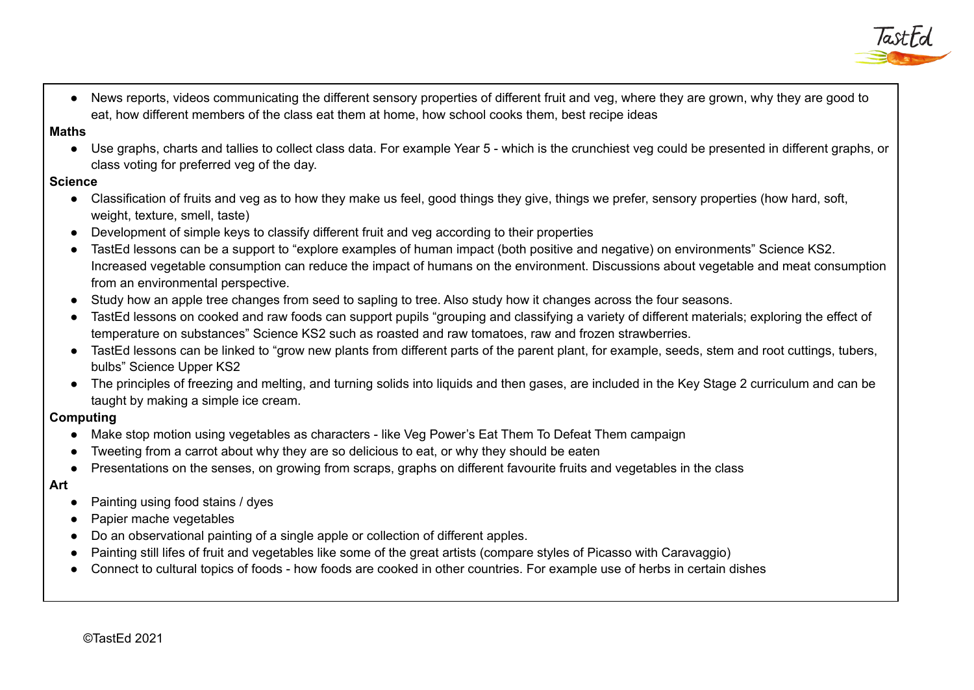

● News reports, videos communicating the different sensory properties of different fruit and veg, where they are grown, why they are good to eat, how different members of the class eat them at home, how school cooks them, best recipe ideas

#### **Maths**

● Use graphs, charts and tallies to collect class data. For example Year 5 - which is the crunchiest veg could be presented in different graphs, or class voting for preferred veg of the day.

#### **Science**

- Classification of fruits and veg as to how they make us feel, good things they give, things we prefer, sensory properties (how hard, soft, weight, texture, smell, taste)
- Development of simple keys to classify different fruit and veg according to their properties
- TastEd lessons can be a support to "explore examples of human impact (both positive and negative) on environments" Science KS2. Increased vegetable consumption can reduce the impact of humans on the environment. Discussions about vegetable and meat consumption from an environmental perspective.
- Study how an apple tree changes from seed to sapling to tree. Also study how it changes across the four seasons.
- TastEd lessons on cooked and raw foods can support pupils "grouping and classifying a variety of different materials; exploring the effect of temperature on substances" Science KS2 such as roasted and raw tomatoes, raw and frozen strawberries.
- TastEd lessons can be linked to "grow new plants from different parts of the parent plant, for example, seeds, stem and root cuttings, tubers, bulbs" Science Upper KS2
- The principles of freezing and melting, and turning solids into liquids and then gases, are included in the Key Stage 2 curriculum and can be taught by making a simple ice cream.

#### **Computing**

- Make stop motion using vegetables as characters like Veg Power's Eat Them To Defeat Them campaign
- Tweeting from a carrot about why they are so delicious to eat, or why they should be eaten
- Presentations on the senses, on growing from scraps, graphs on different favourite fruits and vegetables in the class

#### **Art**

- Painting using food stains / dyes
- Papier mache vegetables
- Do an observational painting of a single apple or collection of different apples.
- Painting still lifes of fruit and vegetables like some of the great artists (compare styles of Picasso with Caravaggio)
- Connect to cultural topics of foods how foods are cooked in other countries. For example use of herbs in certain dishes